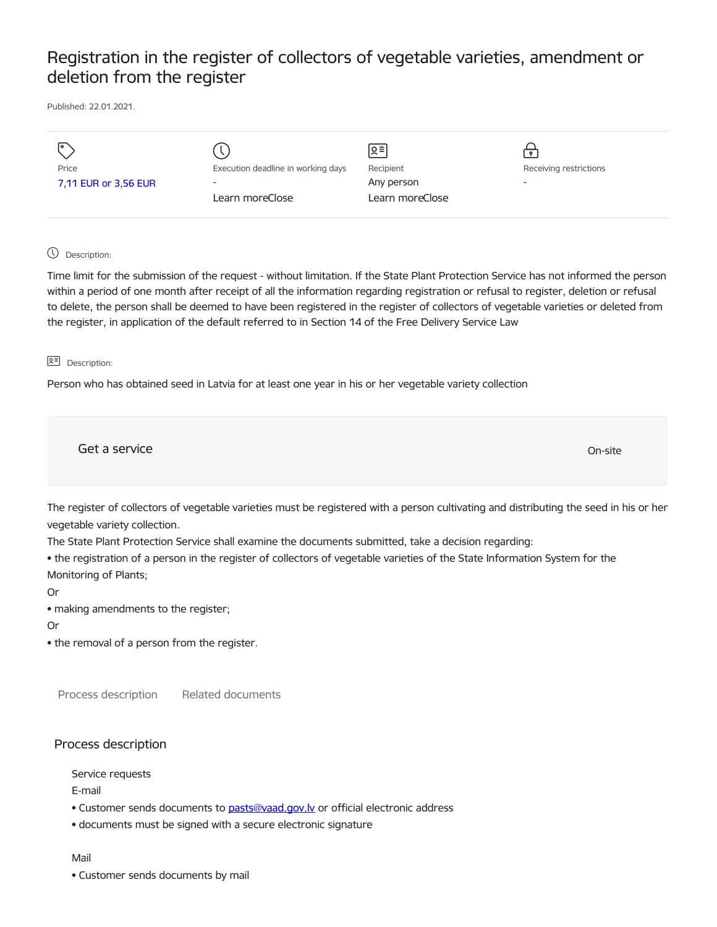# Registration in the register of collectors of vegetable varieties, amendment or deletion from the register

Published: 22.01.2021.

| I۰                   |                                    | Զ≡              |                          |
|----------------------|------------------------------------|-----------------|--------------------------|
|                      |                                    |                 |                          |
| Price                | Execution deadline in working days | Recipient       | Receiving restrictions   |
| 7,11 EUR or 3,56 EUR | $\overline{\phantom{0}}$           | Any person      | $\overline{\phantom{a}}$ |
|                      | Learn moreClose                    | Learn moreClose |                          |
|                      |                                    |                 |                          |
|                      |                                    |                 |                          |

## Description:

Time limit for the submission of the request - without limitation. If the State Plant Protection Service has not informed the person within a period of one month after receipt of all the information regarding registration or refusal to register, deletion or refusal to delete, the person shall be deemed to have been registered in the register of collectors of vegetable varieties or deleted from the register, in application of the default referred to in Section 14 of the Free Delivery Service Law

### **오** Description:

Person who has obtained seed in Latvia for at least one year in his or her vegetable variety collection

Get a service On-site

The register of collectors of vegetable varieties must be registered with a person cultivating and distributing the seed in his or her vegetable variety collection.

The State Plant Protection Service shall examine the documents submitted, take a decision regarding:

• the registration of a person in the register of collectors of vegetable varieties of the State Information System for the Monitoring of Plants;

Or

• making amendments to the register;

Or

• the removal of a person from the register.

Process description Related documents

# Process description

Service requests

E-mail

- Customer sends documents to pasts@vaad.gov.ly or official electronic address
- documents must be signed with a secure electronic signature

## Mail

• Customer sends documents by mail